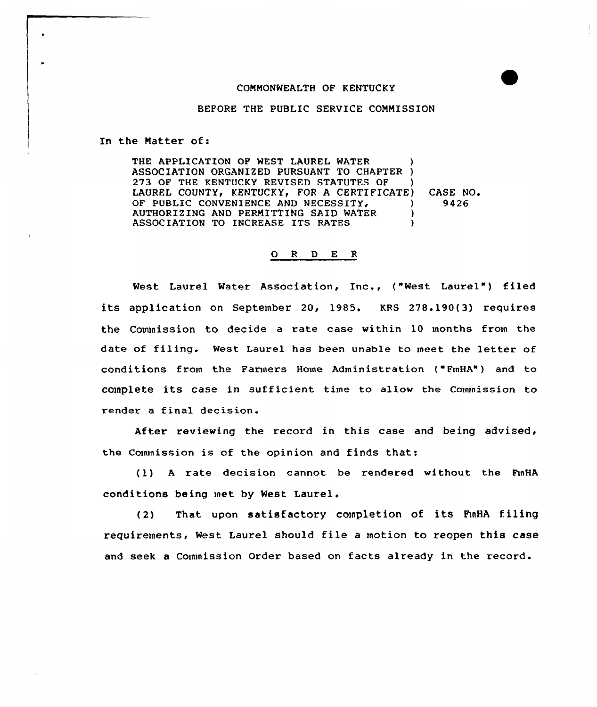## CONMONWEALTH OF KENTUCKY

## BEFORE THE PUBLIC SERVICE COMMISSION

In the Natter of:

THE APPLICATION OF WEST LAUREL WATER ASSOCIATION ORGANIZED PURSUANT TO CHAPTER )<br>273 OF THE KENTUCKY REVISED STATUTES OF ) 273 OF THE KENTUCKY REVISED STATUTES OF LAUREL COUNTY, KENTUCKY, FOR A CERTIFICATE) OF PUBLIC CONVENIENCE AND NECESSITY. AUTHORIZING AND PERMITTING SAID WATER  $\overrightarrow{)}$ <br>ASSOCIATION TO INCREASE ITS PATES ASSOCIATION TO INCREASE ITS RATES CASE NO. 9426

## 0 <sup>R</sup> <sup>D</sup> E <sup>R</sup>

West Laurel Water Association, Inc., ("West Laurel") filed its application on September 20, 1985. KRS 278.190(3) requires the Commission to decide a rate case within 10 months from the date of filing. West Laurel has been unable to meet the letter of conditions from the Farmers Home Administration ( FmHA") and to complete its case in sufficient time to allow the Commission to render a final decision.

After reviewing the record in this case and being advised, the Commission is of the opinion and finds that:

(1) <sup>A</sup> rate decision cannot be rendered without the hnHA conditions being met by West Laurel.

(2) That upon satisfactory completion of its FmHA filing requirements, West Laurel should file <sup>a</sup> motion to reopen this case and seek a Commission Order based on facts already in the record.